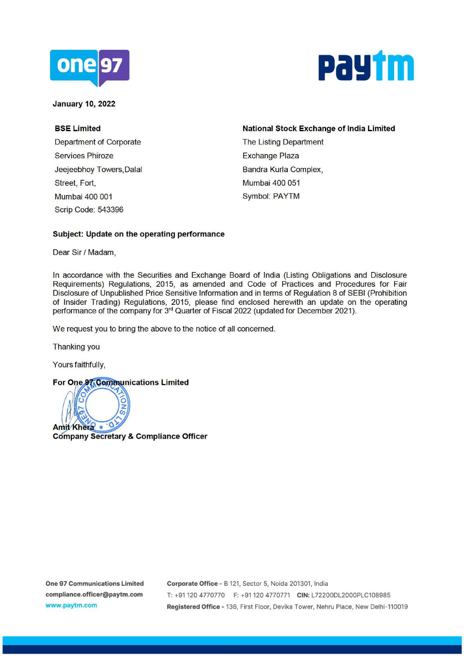



**January 10, 2022** 

**BSE Limited**  Department of Corporate Services Phiroze Jeejeebhoy Towers,Dalal Street, Fort, Mumbai 400 001 Scrip Code: 543396

**National Stock Exchange of India Limited**  The Listing Department Exchange Plaza Bandra Kurla Complex, Mumbai 400 051 Symbol: PAYTM

## **Subject: Update on the operating performance**

Dear Sir / Madam,

In accordance with the Securities and Exchange Board of India (Listing Obligations and Disclosure Requirements) Regulations, 2015, as amended and Code of Practices and Procedures for Fair Disclosure of Unpublished Price Sensitive Information and in terms of Regulation 8 of SEBI (Prohibition of Insider Trading) Regulations, 2015, please find enclosed herewith an update on the operating performance of the company for 3<sup>rd</sup> Quarter of Fiscal 2022 (updated for December 2021).

We request you to bring the above to the notice of all concerned.

Thanking you

Yours faithfully,

## **For One 97 Communications Limited**



**Company Secretary** & **Compliance Officer**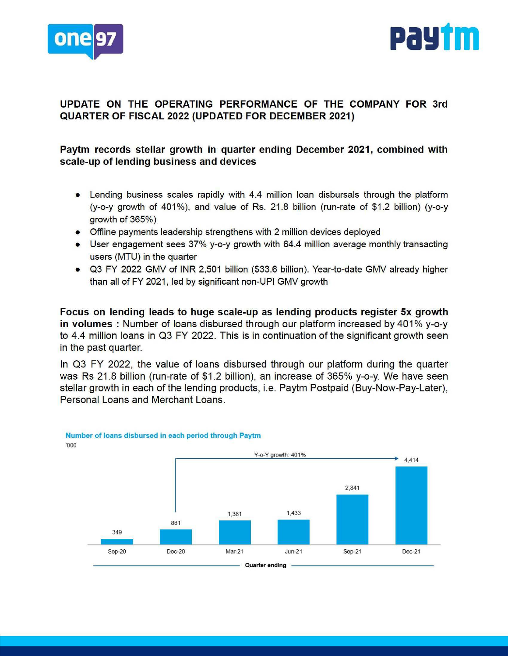



# **UPDATE ON THE OPERATING PERFORMANCE OF THE COMPANY FOR 3rd QUARTER OF FISCAL 2022 (UPDATED FOR DECEMBER 2021)**

# **Paytm records stellar growth in quarter ending December 2021, combined with scale-up of lending business and devices**

- Lending business scales rapidly with 4.4 million loan disbursals through the platform (y-o-y growth of 401%), and value of Rs. 21.8 billion (run-rate of \$1.2 billion) (y-o-y growth of 365%)
- Offiine payments leadership strengthens with 2 million devices deployed
- User engagement sees 37% y-o-y growth with 64.4 million average monthly transacting users (MTU) in the quarter
- Q3 FY 2022 GMV of INR 2,501 billion (\$33.6 billion). Year-to-date GMV already higher than all of FY 2021, led by significant non-UPI GMV growth

Focus on lending leads to huge scale-up as lending products register 5x growth in volumes : Number of loans disbursed through our platform increased by 401% y-o-y to 4.4 million loans in Q3 FY 2022. This is in continuation of the significant growth seen in the past quarter.

In Q3 FY 2022, the value of loans disbursed through our platform during the quarter was Rs 21.8 billion (run-rate of \$1.2 billion), an increase of 365% y-o-y. We have seen stellar growth in each of the lending products, i.e. Paytm Postpaid (Buy-Now-Pay-Later), Personal Loans and Merchant Loans.



#### **Number of loans disbursed in each period through Paytm**  '000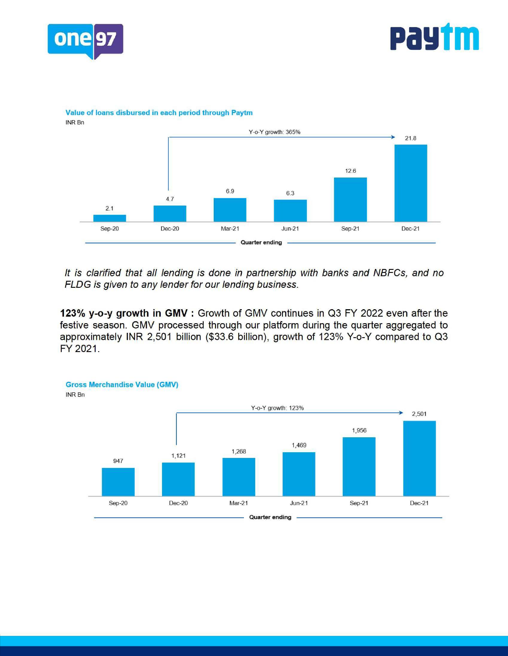



### **Value of loans disbursed in each period through Paytm**



It is clarified that all lending is done in partnership with banks and NBFCs, and no FLOG is given to any lender for our lending business.

**123% y-o-y growth in GMV** : Growth of GMV continues in Q3 FY 2022 even after the festive season. GMV processed through our platform during the quarter aggregated to approximately INR 2,501 billion (\$33.6 billion), growth of 123% Y-o-Y compared to Q3 FY 2021.

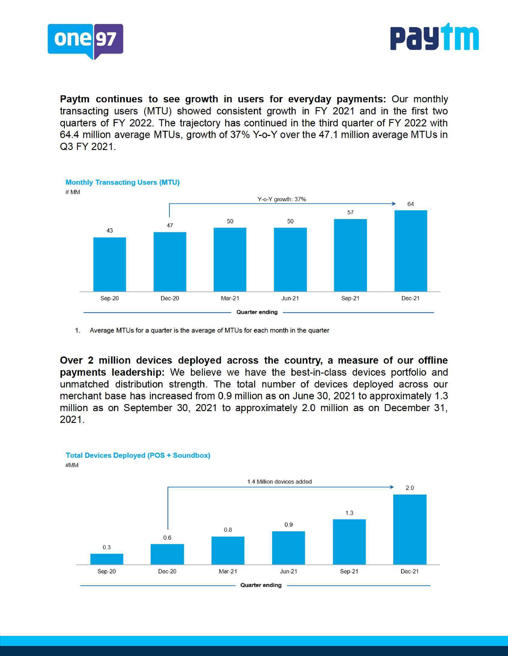



**Paytm continues to see growth in users for everyday payments:** Our monthly transacting users (MTU) showed consistent growth in FY 2021 and in the first two quarters of FY 2022. The trajectory has continued in the third quarter of FY 2022 with 64.4 million average MTUs, growth of 37% Y-o-Y over the 47.1 million average MTUs in Q3 FY 2021.



1. Average MTUs for a quarter is the average of MTUs for each month in the quarter

**Over 2 million devices deployed across the country, a measure of our offline payments leadership:** We believe we have the best-in-class devices portfolio and unmatched distribution strength. The total number of devices deployed across our merchant base has increased from 0.9 million as on June 30, 2021 to approximately 1.3 million as on September 30, 2021 to approximately 2.0 million as on December 31, 2021.